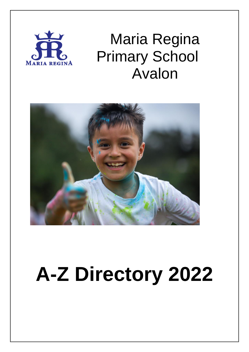

## Maria Regina Primary School Avalon



# **A-Z Directory 2022**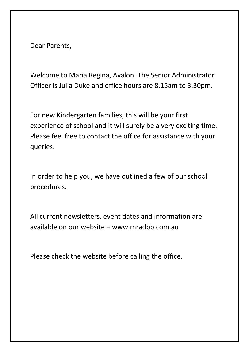Dear Parents,

Welcome to Maria Regina, Avalon. The Senior Administrator Officer is Julia Duke and office hours are 8.15am to 3.30pm.

For new Kindergarten families, this will be your first experience of school and it will surely be a very exciting time. Please feel free to contact the office for assistance with your queries.

In order to help you, we have outlined a few of our school procedures.

All current newsletters, event dates and information are available on our website – www.mradbb.com.au

Please check the website before calling the office.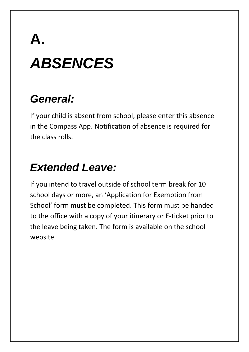# **A.** *ABSENCES*

#### *General:*

If your child is absent from school, please enter this absence in the Compass App. Notification of absence is required for the class rolls.

## *Extended Leave:*

If you intend to travel outside of school term break for 10 school days or more, an 'Application for Exemption from School' form must be completed. This form must be handed to the office with a copy of your itinerary or E-ticket prior to the leave being taken. The form is available on the school website.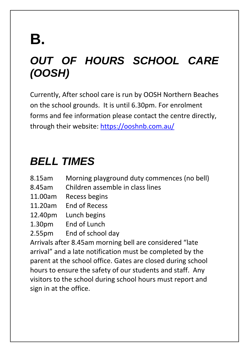## **B.**

## *OUT OF HOURS SCHOOL CARE (OOSH)*

Currently, After school care is run by OOSH Northern Beaches on the school grounds. It is until 6.30pm. For enrolment forms and fee information please contact the centre directly, through their website: <https://ooshnb.com.au/>

#### *BELL TIMES*

- 8.15am Morning playground duty commences (no bell)
- 8.45am Children assemble in class lines
- 11.00am Recess begins
- 11.20am End of Recess
- 12.40pm Lunch begins
- 1.30pm End of Lunch
- 2.55pm End of school day

Arrivals after 8.45am morning bell are considered "late arrival" and a late notification must be completed by the parent at the school office. Gates are closed during school hours to ensure the safety of our students and staff. Any visitors to the school during school hours must report and sign in at the office.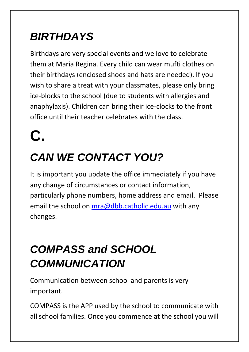## *BIRTHDAYS*

Birthdays are very special events and we love to celebrate them at Maria Regina. Every child can wear mufti clothes on their birthdays (enclosed shoes and hats are needed). If you wish to share a treat with your classmates, please only bring ice-blocks to the school (due to students with allergies and anaphylaxis). Children can bring their ice-clocks to the front office until their teacher celebrates with the class.

**C.**

## *CAN WE CONTACT YOU?*

It is important you update the office immediately if you have any change of circumstances or contact information, particularly phone numbers, home address and email. Please email the school on [mra@dbb.catholic.edu.au](mailto:mra@dbb.catholic.edu.au) with any changes.

## *COMPASS and SCHOOL COMMUNICATION*

Communication between school and parents is very important.

COMPASS is the APP used by the school to communicate with all school families. Once you commence at the school you will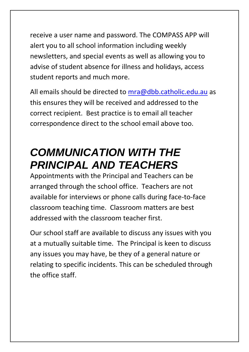receive a user name and password. The COMPASS APP will alert you to all school information including weekly newsletters, and special events as well as allowing you to advise of student absence for illness and holidays, access student reports and much more.

All emails should be directed to [mra@dbb.catholic.edu.au](mailto:mra@dbb.catholic.edu.au) as this ensures they will be received and addressed to the correct recipient. Best practice is to email all teacher correspondence direct to the school email above too.

#### *COMMUNICATION WITH THE PRINCIPAL AND TEACHERS*

Appointments with the Principal and Teachers can be arranged through the school office. Teachers are not available for interviews or phone calls during face-to-face classroom teaching time. Classroom matters are best addressed with the classroom teacher first.

Our school staff are available to discuss any issues with you at a mutually suitable time. The Principal is keen to discuss any issues you may have, be they of a general nature or relating to specific incidents. This can be scheduled through the office staff.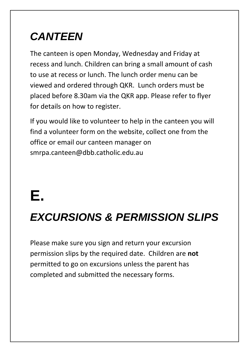## *CANTEEN*

The canteen is open Monday, Wednesday and Friday at recess and lunch. Children can bring a small amount of cash to use at recess or lunch. The lunch order menu can be viewed and ordered through QKR. Lunch orders must be placed before 8.30am via the QKR app. Please refer to flyer for details on how to register.

If you would like to volunteer to help in the canteen you will find a volunteer form on the website, collect one from the office or email our canteen manager on smrpa.canteen@dbb.catholic.edu.au

## **E.**

#### *EXCURSIONS & PERMISSION SLIPS*

Please make sure you sign and return your excursion permission slips by the required date. Children are **not** permitted to go on excursions unless the parent has completed and submitted the necessary forms.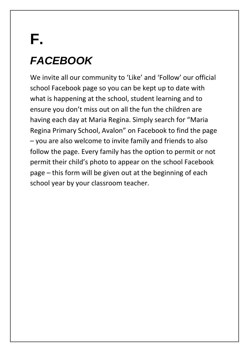## **F.** *FACEBOOK*

We invite all our community to 'Like' and 'Follow' our official school Facebook page so you can be kept up to date with what is happening at the school, student learning and to ensure you don't miss out on all the fun the children are having each day at Maria Regina. Simply search for "Maria Regina Primary School, Avalon" on Facebook to find the page – you are also welcome to invite family and friends to also follow the page. Every family has the option to permit or not permit their child's photo to appear on the school Facebook page – this form will be given out at the beginning of each school year by your classroom teacher.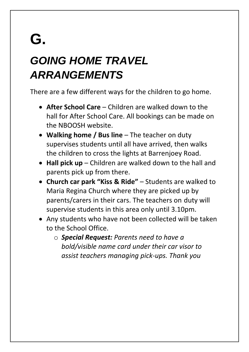## **G.**

## *GOING HOME TRAVEL ARRANGEMENTS*

There are a few different ways for the children to go home.

- **After School Care** Children are walked down to the hall for After School Care. All bookings can be made on the NBOOSH website.
- **Walking home / Bus line** The teacher on duty supervises students until all have arrived, then walks the children to cross the lights at Barrenjoey Road.
- **Hall pick up** Children are walked down to the hall and parents pick up from there.
- **Church car park "Kiss & Ride"**  Students are walked to Maria Regina Church where they are picked up by parents/carers in their cars. The teachers on duty will supervise students in this area only until 3.10pm.
- Any students who have not been collected will be taken to the School Office.
	- o *Special Request: Parents need to have a bold/visible name card under their car visor to assist teachers managing pick-ups. Thank you*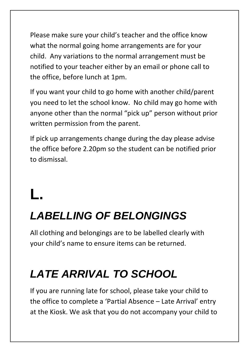Please make sure your child's teacher and the office know what the normal going home arrangements are for your child. Any variations to the normal arrangement must be notified to your teacher either by an email or phone call to the office, before lunch at 1pm.

If you want your child to go home with another child/parent you need to let the school know. No child may go home with anyone other than the normal "pick up" person without prior written permission from the parent.

If pick up arrangements change during the day please advise the office before 2.20pm so the student can be notified prior to dismissal.

## **L.**

#### *LABELLING OF BELONGINGS*

All clothing and belongings are to be labelled clearly with your child's name to ensure items can be returned.

#### *LATE ARRIVAL TO SCHOOL*

If you are running late for school, please take your child to the office to complete a 'Partial Absence – Late Arrival' entry at the Kiosk. We ask that you do not accompany your child to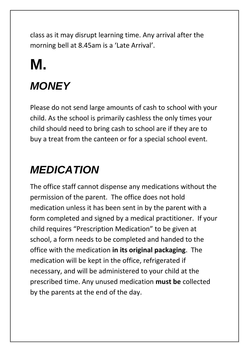class as it may disrupt learning time. Any arrival after the morning bell at 8.45am is a 'Late Arrival'.

## **M.** *MONEY*

Please do not send large amounts of cash to school with your child. As the school is primarily cashless the only times your child should need to bring cash to school are if they are to buy a treat from the canteen or for a special school event.

#### *MEDICATION*

The office staff cannot dispense any medications without the permission of the parent. The office does not hold medication unless it has been sent in by the parent with a form completed and signed by a medical practitioner. If your child requires "Prescription Medication" to be given at school, a form needs to be completed and handed to the office with the medication **in its original packaging**. The medication will be kept in the office, refrigerated if necessary, and will be administered to your child at the prescribed time. Any unused medication **must be** collected by the parents at the end of the day.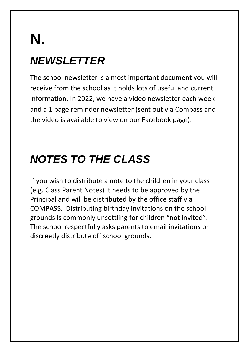## **N.** *NEWSLETTER*

The school newsletter is a most important document you will receive from the school as it holds lots of useful and current information. In 2022, we have a video newsletter each week and a 1 page reminder newsletter (sent out via Compass and the video is available to view on our Facebook page).

## *NOTES TO THE CLASS*

If you wish to distribute a note to the children in your class (e.g. Class Parent Notes) it needs to be approved by the Principal and will be distributed by the office staff via COMPASS. Distributing birthday invitations on the school grounds is commonly unsettling for children "not invited". The school respectfully asks parents to email invitations or discreetly distribute off school grounds.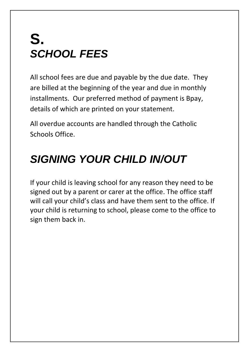## **S.** *SCHOOL FEES*

All school fees are due and payable by the due date. They are billed at the beginning of the year and due in monthly installments. Our preferred method of payment is Bpay, details of which are printed on your statement.

All overdue accounts are handled through the Catholic Schools Office.

#### *SIGNING YOUR CHILD IN/OUT*

If your child is leaving school for any reason they need to be signed out by a parent or carer at the office. The office staff will call your child's class and have them sent to the office. If your child is returning to school, please come to the office to sign them back in.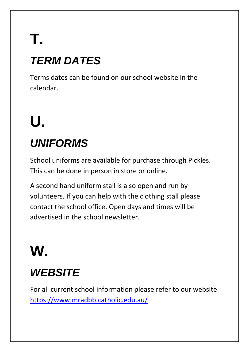## **T.** *TERM DATES*

Terms dates can be found on our school website in the calendar.

# **U.**

## *UNIFORMS*

School uniforms are available for purchase through Pickles. This can be done in person in store or online.

A second hand uniform stall is also open and run by volunteers. If you can help with the clothing stall please contact the school office. Open days and times will be advertised in the school newsletter.

## **W.**

## *WEBSITE*

For all current school information please refer to our website <https://www.mradbb.catholic.edu.au/>